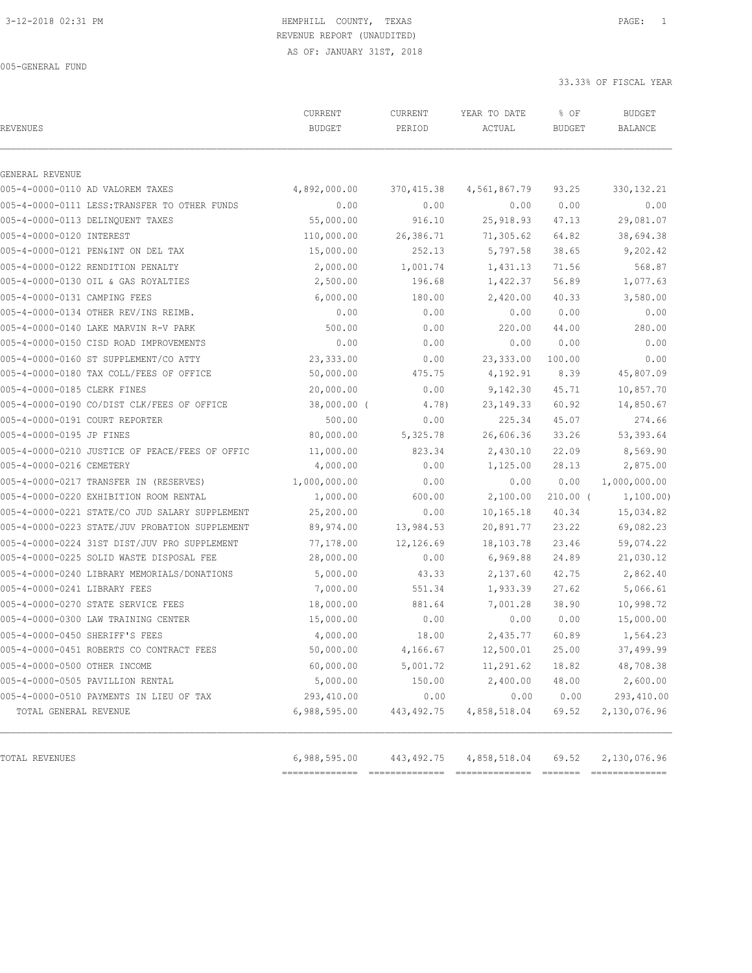### 3-12-2018 02:31 PM HEMPHILL COUNTY, TEXAS PAGE: 1 REVENUE REPORT (UNAUDITED)

AS OF: JANUARY 31ST, 2018

005-GENERAL FUND

| <b>REVENUES</b>                                | CURRENT<br><b>BUDGET</b> | CURRENT<br>PERIOD | YEAR TO DATE<br>ACTUAL | % OF<br><b>BUDGET</b>                                                                                                                                                                                                                                                                                                                                                                                                                                                                                 | <b>BUDGET</b><br><b>BALANCE</b> |
|------------------------------------------------|--------------------------|-------------------|------------------------|-------------------------------------------------------------------------------------------------------------------------------------------------------------------------------------------------------------------------------------------------------------------------------------------------------------------------------------------------------------------------------------------------------------------------------------------------------------------------------------------------------|---------------------------------|
| GENERAL REVENUE                                |                          |                   |                        |                                                                                                                                                                                                                                                                                                                                                                                                                                                                                                       |                                 |
| 005-4-0000-0110 AD VALOREM TAXES               | 4,892,000.00             | 370,415.38        | 4,561,867.79           | 93.25                                                                                                                                                                                                                                                                                                                                                                                                                                                                                                 | 330, 132. 21                    |
| 005-4-0000-0111 LESS: TRANSFER TO OTHER FUNDS  | 0.00                     | 0.00              | 0.00                   | 0.00                                                                                                                                                                                                                                                                                                                                                                                                                                                                                                  | 0.00                            |
| 005-4-0000-0113 DELINQUENT TAXES               | 55,000.00                | 916.10            | 25,918.93              | 47.13                                                                                                                                                                                                                                                                                                                                                                                                                                                                                                 | 29,081.07                       |
| 005-4-0000-0120 INTEREST                       | 110,000.00               | 26,386.71         | 71,305.62              | 64.82                                                                                                                                                                                                                                                                                                                                                                                                                                                                                                 | 38,694.38                       |
| 005-4-0000-0121 PEN&INT ON DEL TAX             | 15,000.00                | 252.13            | 5,797.58               | 38.65                                                                                                                                                                                                                                                                                                                                                                                                                                                                                                 | 9,202.42                        |
| 005-4-0000-0122 RENDITION PENALTY              | 2,000.00                 | 1,001.74          | 1,431.13               | 71.56                                                                                                                                                                                                                                                                                                                                                                                                                                                                                                 | 568.87                          |
| 005-4-0000-0130 OIL & GAS ROYALTIES            | 2,500.00                 | 196.68            | 1,422.37               | 56.89                                                                                                                                                                                                                                                                                                                                                                                                                                                                                                 | 1,077.63                        |
| 005-4-0000-0131 CAMPING FEES                   | 6,000.00                 | 180.00            | 2,420.00               | 40.33                                                                                                                                                                                                                                                                                                                                                                                                                                                                                                 | 3,580.00                        |
| 005-4-0000-0134 OTHER REV/INS REIMB.           | 0.00                     | 0.00              | 0.00                   | 0.00                                                                                                                                                                                                                                                                                                                                                                                                                                                                                                  | 0.00                            |
| 005-4-0000-0140 LAKE MARVIN R-V PARK           | 500.00                   | 0.00              | 220.00                 | 44.00                                                                                                                                                                                                                                                                                                                                                                                                                                                                                                 | 280.00                          |
| 005-4-0000-0150 CISD ROAD IMPROVEMENTS         | 0.00                     | 0.00              | 0.00                   | 0.00                                                                                                                                                                                                                                                                                                                                                                                                                                                                                                  | 0.00                            |
| 005-4-0000-0160 ST SUPPLEMENT/CO ATTY          | 23,333.00                | 0.00              | 23, 333.00             | 100.00                                                                                                                                                                                                                                                                                                                                                                                                                                                                                                | 0.00                            |
| 005-4-0000-0180 TAX COLL/FEES OF OFFICE        | 50,000.00                | 475.75            | 4,192.91               | 8.39                                                                                                                                                                                                                                                                                                                                                                                                                                                                                                  | 45,807.09                       |
| 005-4-0000-0185 CLERK FINES                    | 20,000.00                | 0.00              | 9,142.30               | 45.71                                                                                                                                                                                                                                                                                                                                                                                                                                                                                                 | 10,857.70                       |
| 005-4-0000-0190 CO/DIST CLK/FEES OF OFFICE     | $38,000.00$ (            | 4.78)             | 23, 149. 33            | 60.92                                                                                                                                                                                                                                                                                                                                                                                                                                                                                                 | 14,850.67                       |
| 005-4-0000-0191 COURT REPORTER                 | 500.00                   | 0.00              | 225.34                 | 45.07                                                                                                                                                                                                                                                                                                                                                                                                                                                                                                 | 274.66                          |
| 005-4-0000-0195 JP FINES                       | 80,000.00                | 5,325.78          | 26,606.36              | 33.26                                                                                                                                                                                                                                                                                                                                                                                                                                                                                                 | 53, 393.64                      |
| 005-4-0000-0210 JUSTICE OF PEACE/FEES OF OFFIC | 11,000.00                | 823.34            | 2,430.10               | 22.09                                                                                                                                                                                                                                                                                                                                                                                                                                                                                                 | 8,569.90                        |
| 005-4-0000-0216 CEMETERY                       | 4,000.00                 | 0.00              | 1,125.00               | 28.13                                                                                                                                                                                                                                                                                                                                                                                                                                                                                                 | 2,875.00                        |
| 005-4-0000-0217 TRANSFER IN (RESERVES)         | 1,000,000.00             | 0.00              | 0.00                   | 0.00                                                                                                                                                                                                                                                                                                                                                                                                                                                                                                  | 1,000,000.00                    |
| 005-4-0000-0220 EXHIBITION ROOM RENTAL         | 1,000.00                 | 600.00            | 2,100.00               | $210.00$ (                                                                                                                                                                                                                                                                                                                                                                                                                                                                                            | 1,100.00)                       |
| 005-4-0000-0221 STATE/CO JUD SALARY SUPPLEMENT | 25,200.00                | 0.00              | 10,165.18              | 40.34                                                                                                                                                                                                                                                                                                                                                                                                                                                                                                 | 15,034.82                       |
| 005-4-0000-0223 STATE/JUV PROBATION SUPPLEMENT | 89,974.00                | 13,984.53         | 20,891.77              | 23.22                                                                                                                                                                                                                                                                                                                                                                                                                                                                                                 | 69,082.23                       |
| 005-4-0000-0224 31ST DIST/JUV PRO SUPPLEMENT   | 77,178.00                | 12,126.69         | 18, 103. 78            | 23.46                                                                                                                                                                                                                                                                                                                                                                                                                                                                                                 | 59,074.22                       |
| 005-4-0000-0225 SOLID WASTE DISPOSAL FEE       | 28,000.00                | 0.00              | 6,969.88               | 24.89                                                                                                                                                                                                                                                                                                                                                                                                                                                                                                 | 21,030.12                       |
| 005-4-0000-0240 LIBRARY MEMORIALS/DONATIONS    | 5,000.00                 | 43.33             | 2,137.60               | 42.75                                                                                                                                                                                                                                                                                                                                                                                                                                                                                                 | 2,862.40                        |
| 005-4-0000-0241 LIBRARY FEES                   | 7,000.00                 | 551.34            | 1,933.39               | 27.62                                                                                                                                                                                                                                                                                                                                                                                                                                                                                                 | 5,066.61                        |
| 005-4-0000-0270 STATE SERVICE FEES             | 18,000.00                | 881.64            | 7,001.28               | 38.90                                                                                                                                                                                                                                                                                                                                                                                                                                                                                                 | 10,998.72                       |
| 005-4-0000-0300 LAW TRAINING CENTER            | 15,000.00                | 0.00              | 0.00                   | 0.00                                                                                                                                                                                                                                                                                                                                                                                                                                                                                                  | 15,000.00                       |
| 005-4-0000-0450 SHERIFF'S FEES                 | 4,000.00                 | 18.00             | 2,435.77               | 60.89                                                                                                                                                                                                                                                                                                                                                                                                                                                                                                 | 1,564.23                        |
| 005-4-0000-0451 ROBERTS CO CONTRACT FEES       | 50,000.00                | 4,166.67          | 12,500.01              | 25.00                                                                                                                                                                                                                                                                                                                                                                                                                                                                                                 | 37,499.99                       |
| 005-4-0000-0500 OTHER INCOME                   | 60,000.00                | 5,001.72          | 11,291.62              | 18.82                                                                                                                                                                                                                                                                                                                                                                                                                                                                                                 | 48,708.38                       |
| 005-4-0000-0505 PAVILLION RENTAL               | 5,000.00                 | 150.00            | 2,400.00               | 48.00                                                                                                                                                                                                                                                                                                                                                                                                                                                                                                 | 2,600.00                        |
| 005-4-0000-0510 PAYMENTS IN LIEU OF TAX        | 293,410.00               | 0.00              | 0.00                   | 0.00                                                                                                                                                                                                                                                                                                                                                                                                                                                                                                  | 293,410.00                      |
| TOTAL GENERAL REVENUE                          | 6,988,595.00             | 443,492.75        | 4,858,518.04           | 69.52                                                                                                                                                                                                                                                                                                                                                                                                                                                                                                 | 2,130,076.96                    |
| TOTAL REVENUES                                 | 6,988,595.00             | 443,492.75        | 4,858,518.04           | 69.52<br>$\begin{array}{c} \multicolumn{3}{c} {\textbf{2}} & \multicolumn{3}{c} {\textbf{2}} & \multicolumn{3}{c} {\textbf{2}} & \multicolumn{3}{c} {\textbf{2}} & \multicolumn{3}{c} {\textbf{2}} \\ \multicolumn{3}{c} {\textbf{3}} & \multicolumn{3}{c} {\textbf{4}} & \multicolumn{3}{c} {\textbf{5}} & \multicolumn{3}{c} {\textbf{6}} & \multicolumn{3}{c} {\textbf{7}} \\ \multicolumn{3}{c} {\textbf{5}} & \multicolumn{3}{c} {\textbf{6}} & \multicolumn{3}{c} {\textbf{7}} & \multicolumn{$ | 2,130,076.96<br>==============  |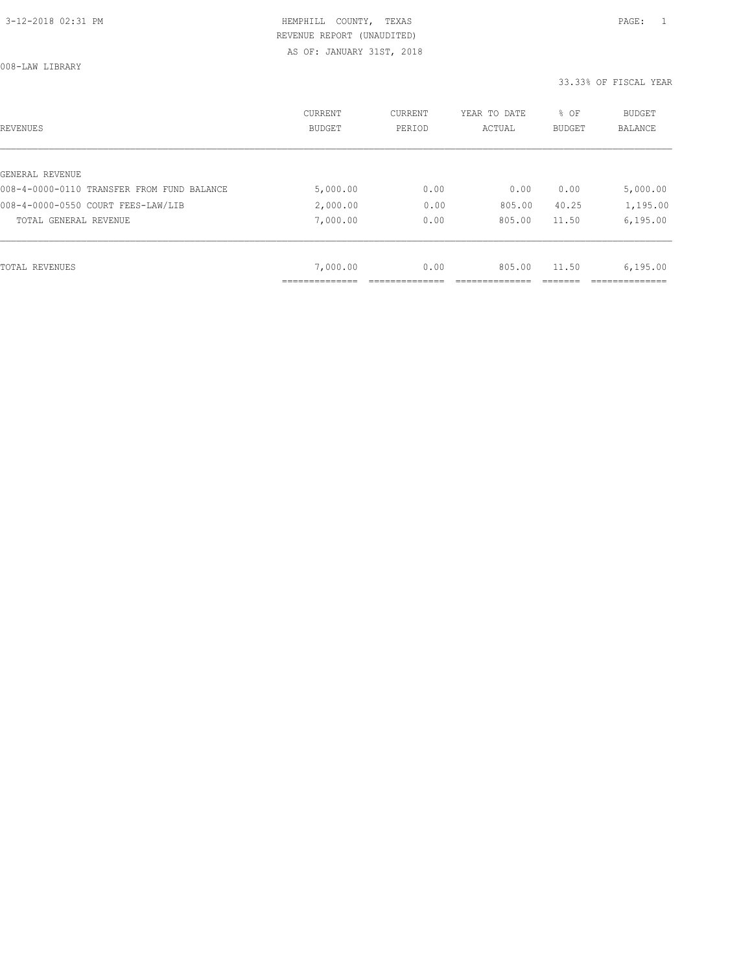008-LAW LIBRARY

| REVENUES                                   | CURRENT<br><b>BUDGET</b> | CURRENT<br>PERIOD | YEAR TO DATE<br>ACTUAL | % OF<br>BUDGET | BUDGET<br><b>BALANCE</b> |
|--------------------------------------------|--------------------------|-------------------|------------------------|----------------|--------------------------|
|                                            |                          |                   |                        |                |                          |
| GENERAL REVENUE                            |                          |                   |                        |                |                          |
| 008-4-0000-0110 TRANSFER FROM FUND BALANCE | 5,000.00                 | 0.00              | 0.00                   | 0.00           | 5,000.00                 |
| 008-4-0000-0550 COURT FEES-LAW/LIB         | 2,000.00                 | 0.00              | 805.00                 | 40.25          | 1,195.00                 |
| TOTAL GENERAL REVENUE                      | 7,000.00                 | 0.00              | 805.00                 | 11.50          | 6, 195.00                |
|                                            |                          |                   |                        |                |                          |
| TOTAL REVENUES                             | 7,000.00                 | 0.00              | 805.00                 | 11.50          | 6, 195.00                |
|                                            |                          |                   |                        |                |                          |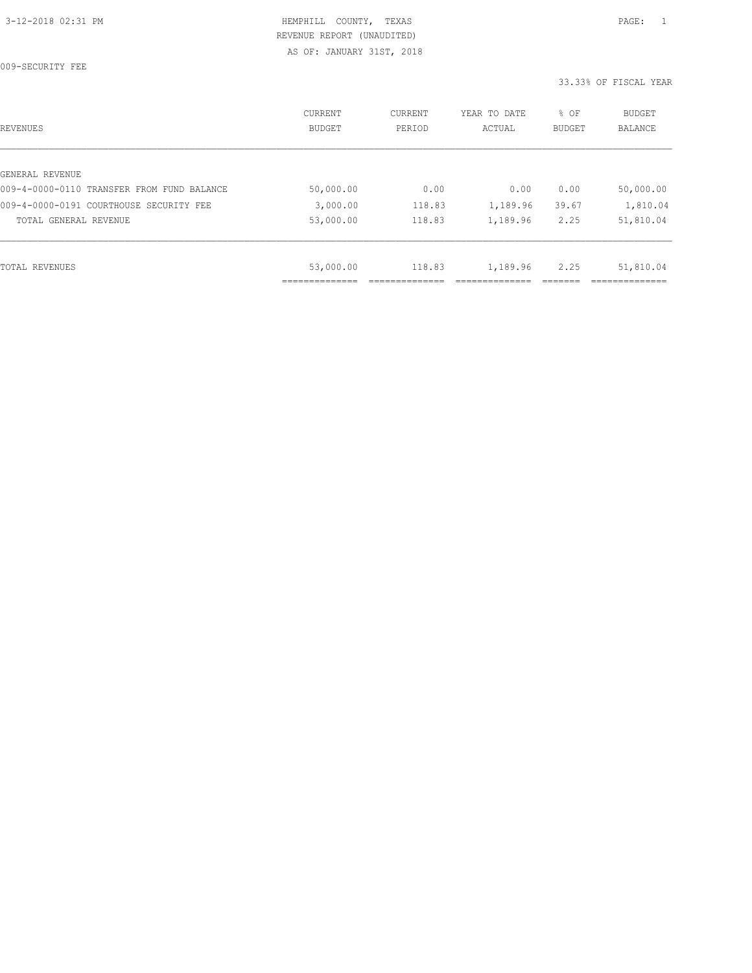009-SECURITY FEE

| REVENUES                                   | <b>CURRENT</b><br><b>BUDGET</b> | CURRENT<br>PERIOD | YEAR TO DATE<br>ACTUAL | % OF<br><b>BUDGET</b> | <b>BUDGET</b><br>BALANCE |
|--------------------------------------------|---------------------------------|-------------------|------------------------|-----------------------|--------------------------|
|                                            |                                 |                   |                        |                       |                          |
| GENERAL REVENUE                            |                                 |                   |                        |                       |                          |
| 009-4-0000-0110 TRANSFER FROM FUND BALANCE | 50,000.00                       | 0.00              | 0.00                   | 0.00                  | 50,000.00                |
| 009-4-0000-0191 COURTHOUSE SECURITY FEE    | 3,000.00                        | 118.83            | 1,189.96               | 39.67                 | 1,810.04                 |
| TOTAL GENERAL REVENUE                      | 53,000.00                       | 118.83            | 1,189.96               | 2.25                  | 51,810.04                |
|                                            |                                 |                   |                        |                       |                          |
| TOTAL REVENUES                             | 53,000.00                       | 118.83            | 1,189.96               | 2.25                  | 51,810.04                |
|                                            |                                 |                   |                        |                       |                          |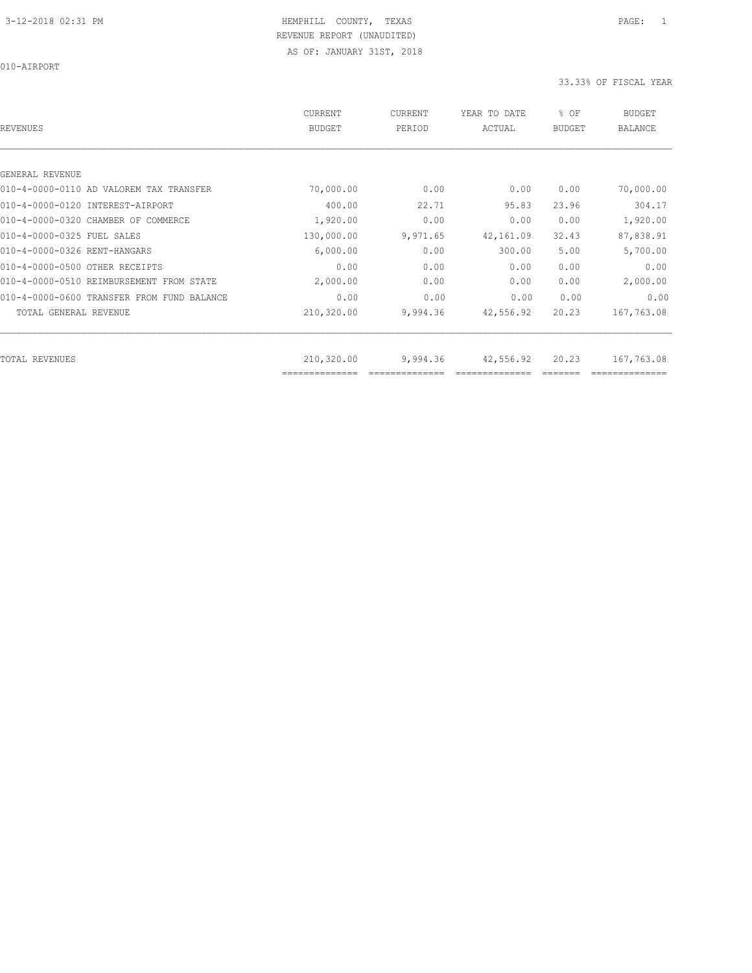010-AIRPORT

| REVENUES                                   | <b>CURRENT</b><br><b>BUDGET</b> | CURRENT<br>PERIOD | YEAR TO DATE<br>ACTUAL | % OF<br><b>BUDGET</b> | <b>BUDGET</b><br><b>BALANCE</b> |
|--------------------------------------------|---------------------------------|-------------------|------------------------|-----------------------|---------------------------------|
|                                            |                                 |                   |                        |                       |                                 |
| GENERAL REVENUE                            |                                 |                   |                        |                       |                                 |
| 010-4-0000-0110 AD VALOREM TAX TRANSFER    | 70,000.00                       | 0.00              | 0.00                   | 0.00                  | 70,000.00                       |
| 010-4-0000-0120 INTEREST-AIRPORT           | 400.00                          | 22.71             | 95.83                  | 23.96                 | 304.17                          |
| 010-4-0000-0320 CHAMBER OF COMMERCE        | 1,920.00                        | 0.00              | 0.00                   | 0.00                  | 1,920.00                        |
| 010-4-0000-0325 FUEL SALES                 | 130,000.00                      | 9,971.65          | 42,161.09              | 32.43                 | 87,838.91                       |
| 010-4-0000-0326 RENT-HANGARS               | 6,000.00                        | 0.00              | 300.00                 | 5.00                  | 5,700.00                        |
| 010-4-0000-0500 OTHER RECEIPTS             | 0.00                            | 0.00              | 0.00                   | 0.00                  | 0.00                            |
| 010-4-0000-0510 REIMBURSEMENT FROM STATE   | 2,000.00                        | 0.00              | 0.00                   | 0.00                  | 2,000.00                        |
| 010-4-0000-0600 TRANSFER FROM FUND BALANCE | 0.00                            | 0.00              | 0.00                   | 0.00                  | 0.00                            |
| TOTAL GENERAL REVENUE                      | 210,320.00                      | 9,994.36          | 42,556.92              | 20.23                 | 167,763.08                      |
|                                            |                                 |                   |                        |                       |                                 |
| TOTAL REVENUES                             | 210,320.00<br>--------------    | 9,994.36          | 42,556.92              | 20.23                 | 167,763.08                      |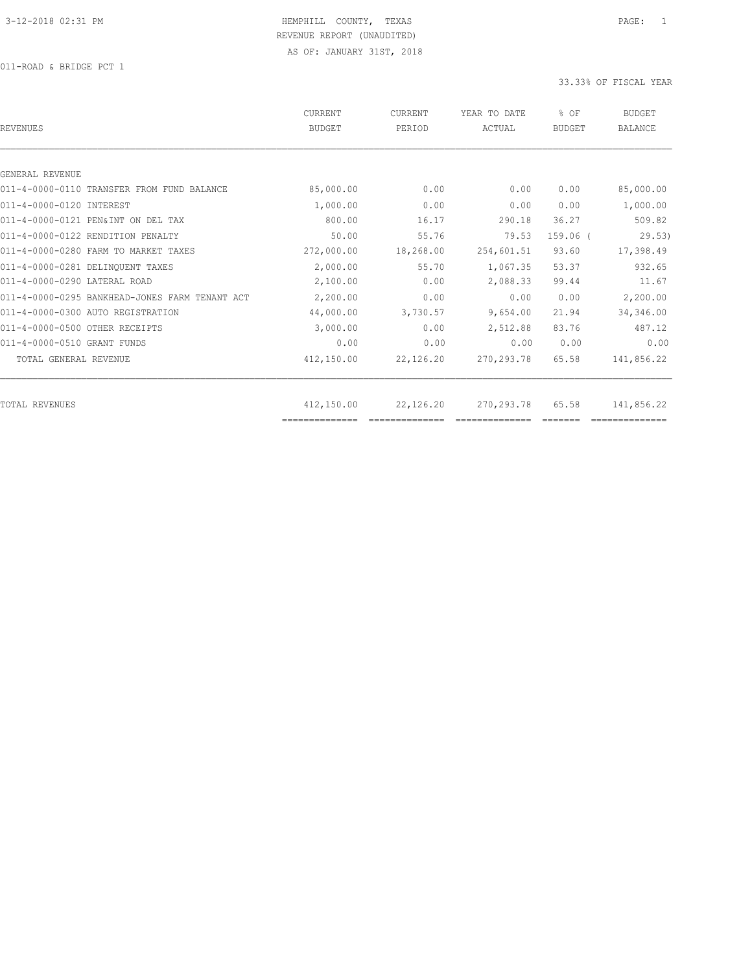011-ROAD & BRIDGE PCT 1

| REVENUES                                       | <b>CURRENT</b><br><b>BUDGET</b> | CURRENT<br>PERIOD | YEAR TO DATE<br>ACTUAL | % OF<br>BUDGET | <b>BUDGET</b><br><b>BALANCE</b> |
|------------------------------------------------|---------------------------------|-------------------|------------------------|----------------|---------------------------------|
|                                                |                                 |                   |                        |                |                                 |
| GENERAL REVENUE                                |                                 |                   |                        |                |                                 |
| 011-4-0000-0110 TRANSFER FROM FUND BALANCE     | 85,000.00                       | 0.00              | 0.00                   | 0.00           | 85,000.00                       |
| 011-4-0000-0120 INTEREST                       | 1,000.00                        | 0.00              | 0.00                   | 0.00           | 1,000.00                        |
| 011-4-0000-0121 PEN&INT ON DEL TAX             | 800.00                          | 16.17             | 290.18                 | 36.27          | 509.82                          |
| 011-4-0000-0122 RENDITION PENALTY              | 50.00                           | 55.76             | 79.53                  | $159.06$ $($   | 29.53)                          |
| 011-4-0000-0280 FARM TO MARKET TAXES           | 272,000.00                      | 18,268.00         | 254,601.51             | 93.60          | 17,398.49                       |
| 011-4-0000-0281 DELINQUENT TAXES               | 2,000.00                        | 55.70             | 1,067.35               | 53.37          | 932.65                          |
| 011-4-0000-0290 LATERAL ROAD                   | 2,100.00                        | 0.00              | 2,088.33               | 99.44          | 11.67                           |
| 011-4-0000-0295 BANKHEAD-JONES FARM TENANT ACT | 2,200.00                        | 0.00              | 0.00                   | 0.00           | 2,200.00                        |
| 011-4-0000-0300 AUTO REGISTRATION              | 44,000.00                       | 3,730.57          | 9,654.00               | 21.94          | 34,346.00                       |
| 011-4-0000-0500 OTHER RECEIPTS                 | 3,000.00                        | 0.00              | 2,512.88               | 83.76          | 487.12                          |
| 011-4-0000-0510 GRANT FUNDS                    | 0.00                            | 0.00              | 0.00                   | 0.00           | 0.00                            |
| TOTAL GENERAL REVENUE                          | 412,150.00                      | 22,126.20         | 270, 293.78            | 65.58          | 141,856.22                      |
|                                                |                                 |                   |                        |                |                                 |
| TOTAL REVENUES                                 | 412,150.00<br>==============    | 22,126.20         | 270,293.78             | 65.58          | 141,856.22                      |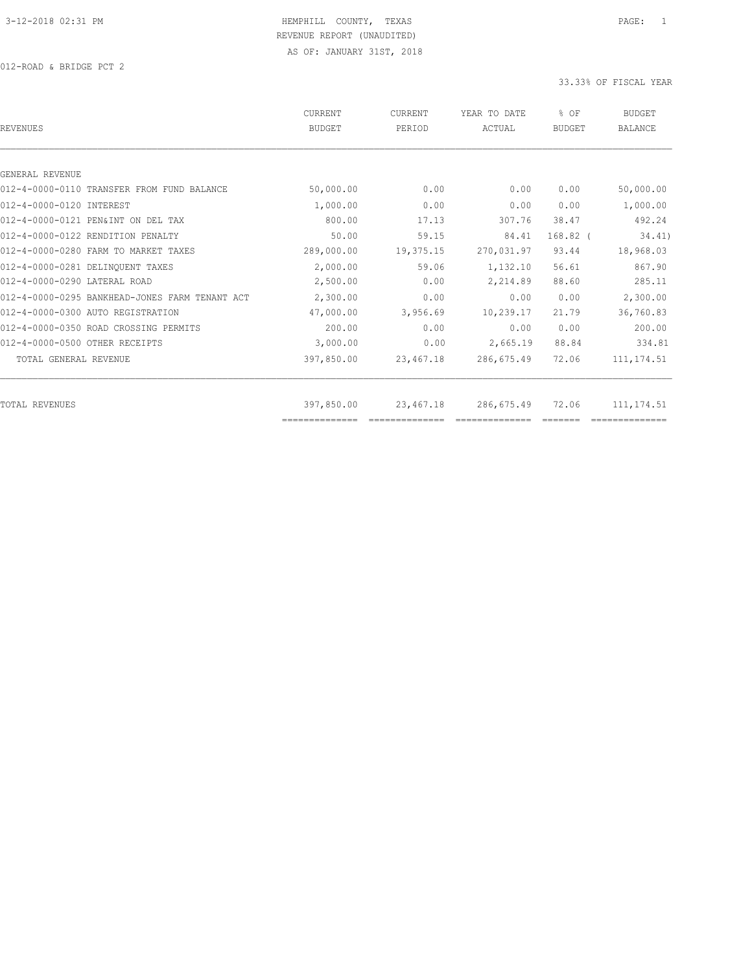012-ROAD & BRIDGE PCT 2

| <b>REVENUES</b>                                | <b>CURRENT</b><br><b>BUDGET</b> | CURRENT<br>PERIOD | YEAR TO DATE<br>ACTUAL | % OF<br><b>BUDGET</b> | <b>BUDGET</b><br><b>BALANCE</b> |
|------------------------------------------------|---------------------------------|-------------------|------------------------|-----------------------|---------------------------------|
|                                                |                                 |                   |                        |                       |                                 |
| GENERAL REVENUE                                |                                 |                   |                        |                       |                                 |
| 012-4-0000-0110 TRANSFER FROM FUND BALANCE     | 50,000.00                       | 0.00              | 0.00                   | 0.00                  | 50,000.00                       |
| 012-4-0000-0120 INTEREST                       | 1,000.00                        | 0.00              | 0.00                   | 0.00                  | 1,000.00                        |
| 012-4-0000-0121 PEN&INT ON DEL TAX             | 800.00                          | 17.13             | 307.76                 | 38.47                 | 492.24                          |
| 012-4-0000-0122 RENDITION PENALTY              | 50.00                           | 59.15             | 84.41                  | $168.82$ (            | 34.41)                          |
| 012-4-0000-0280 FARM TO MARKET TAXES           | 289,000.00                      | 19,375.15         | 270,031.97             | 93.44                 | 18,968.03                       |
| 012-4-0000-0281 DELINQUENT TAXES               | 2,000.00                        | 59.06             | 1,132.10               | 56.61                 | 867.90                          |
| 012-4-0000-0290 LATERAL ROAD                   | 2,500.00                        | 0.00              | 2,214.89               | 88.60                 | 285.11                          |
| 012-4-0000-0295 BANKHEAD-JONES FARM TENANT ACT | 2,300.00                        | 0.00              | 0.00                   | 0.00                  | 2,300.00                        |
| 012-4-0000-0300 AUTO REGISTRATION              | 47,000.00                       | 3,956.69          | 10,239.17              | 21.79                 | 36,760.83                       |
| 012-4-0000-0350 ROAD CROSSING PERMITS          | 200.00                          | 0.00              | 0.00                   | 0.00                  | 200.00                          |
| 012-4-0000-0500 OTHER RECEIPTS                 | 3,000.00                        | 0.00              | 2,665.19               | 88.84                 | 334.81                          |
| TOTAL GENERAL REVENUE                          | 397,850.00                      | 23,467.18         | 286,675.49             | 72.06                 | 111, 174.51                     |
| TOTAL REVENUES                                 | 397,850.00                      | 23,467.18         | 286,675.49             | 72.06                 | 111, 174.51                     |
|                                                |                                 |                   |                        |                       |                                 |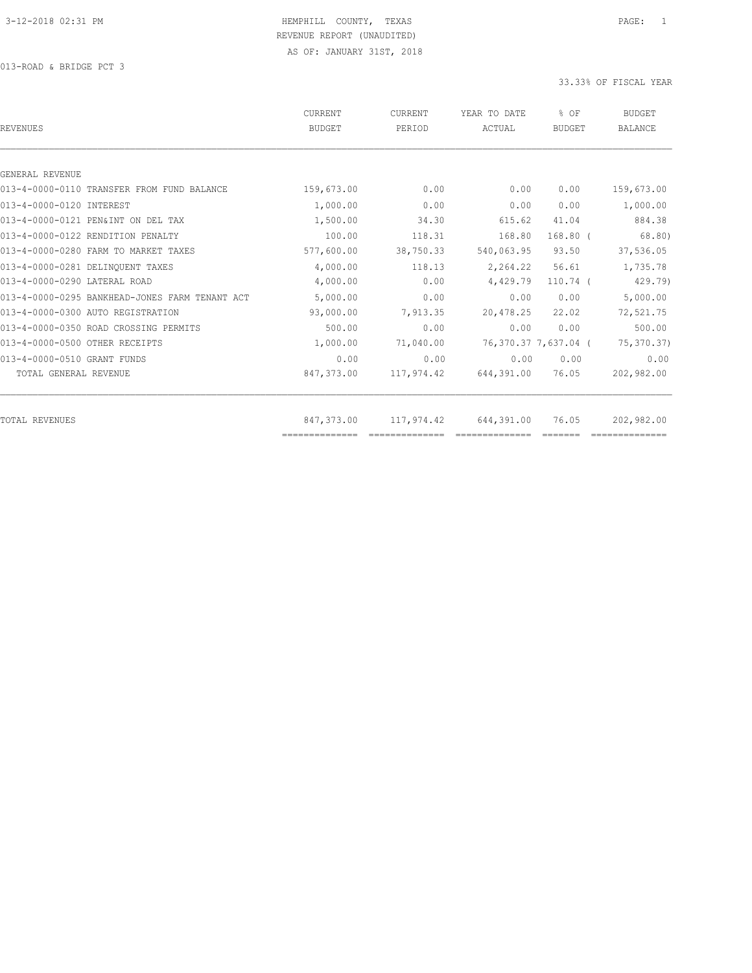013-ROAD & BRIDGE PCT 3

| CURRENT<br><b>BUDGET</b> | CURRENT<br>PERIOD | YEAR TO DATE<br>ACTUAL          | % OF<br>BUDGET | BUDGET<br><b>BALANCE</b>                    |
|--------------------------|-------------------|---------------------------------|----------------|---------------------------------------------|
|                          |                   |                                 |                |                                             |
|                          |                   |                                 |                |                                             |
| 159,673.00               | 0.00              | 0.00                            | 0.00           | 159,673.00                                  |
| 1,000.00                 | 0.00              | 0.00                            | 0.00           | 1,000.00                                    |
| 1,500.00                 | 34.30             | 615.62                          | 41.04          | 884.38                                      |
| 100.00                   | 118.31            | 168.80                          | $168.80$ $($   | 68.80                                       |
| 577,600.00               | 38,750.33         | 540,063.95                      | 93.50          | 37,536.05                                   |
| 4,000.00                 | 118.13            | 2,264.22                        | 56.61          | 1,735.78                                    |
| 4,000.00                 | 0.00              | 4,429.79                        | $110.74$ (     | 429.79)                                     |
| 5,000.00                 | 0.00              | 0.00                            | 0.00           | 5,000.00                                    |
| 93,000.00                | 7,913.35          | 20,478.25                       | 22.02          | 72,521.75                                   |
| 500.00                   | 0.00              | 0.00                            | 0.00           | 500.00                                      |
| 1,000.00                 | 71,040.00         |                                 |                | 75,370.37)                                  |
| 0.00                     | 0.00              | 0.00                            | 0.00           | 0.00                                        |
| 847,373.00               | 117,974.42        |                                 | 76.05          | 202,982.00                                  |
|                          |                   |                                 |                |                                             |
| ==============           |                   |                                 |                | 202,982.00                                  |
|                          | 847,373.00        | 117,974.42<br>$-22222222222222$ | 644,391.00     | 76,370.37 7,637.04 (<br>644,391.00<br>76.05 |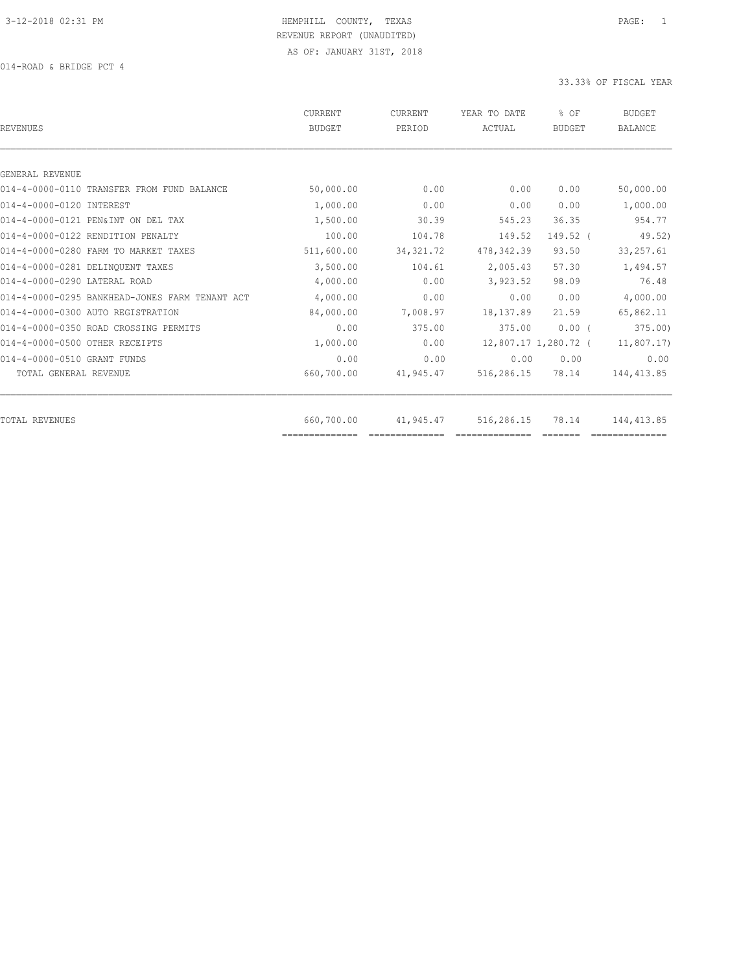014-ROAD & BRIDGE PCT 4

| <b>BUDGET</b> | PERIOD     | YEAR TO DATE<br>ACTUAL | % OF<br><b>BUDGET</b> | <b>BUDGET</b><br><b>BALANCE</b> |
|---------------|------------|------------------------|-----------------------|---------------------------------|
|               |            |                        |                       |                                 |
|               |            |                        |                       |                                 |
| 50,000.00     | 0.00       | 0.00                   | 0.00                  | 50,000.00                       |
| 1,000.00      | 0.00       | 0.00                   | 0.00                  | 1,000.00                        |
| 1,500.00      | 30.39      | 545.23                 | 36.35                 | 954.77                          |
| 100.00        | 104.78     | 149.52                 | 149.52 (              | 49.52)                          |
| 511,600.00    | 34, 321.72 | 478, 342.39            | 93.50                 | 33, 257.61                      |
| 3,500.00      | 104.61     | 2,005.43               | 57.30                 | 1,494.57                        |
| 4,000.00      | 0.00       | 3,923.52               | 98.09                 | 76.48                           |
| 4,000.00      | 0.00       | 0.00                   | 0.00                  | 4,000.00                        |
| 84,000.00     | 7,008.97   | 18,137.89              | 21.59                 | 65,862.11                       |
| 0.00          | 375.00     | 375.00                 | $0.00$ (              | 375.00                          |
| 1,000.00      | 0.00       |                        |                       | 11,807.17                       |
| 0.00          | 0.00       | 0.00                   | 0.00                  | 0.00                            |
| 660,700.00    | 41,945.47  | 516,286.15             | 78.14                 | 144, 413.85                     |
| 660,700.00    |            | 516,286.15             | 78.14                 | 144, 413.85                     |
|               |            |                        | 41,945.47             | 12,807.17 1,280.72 (            |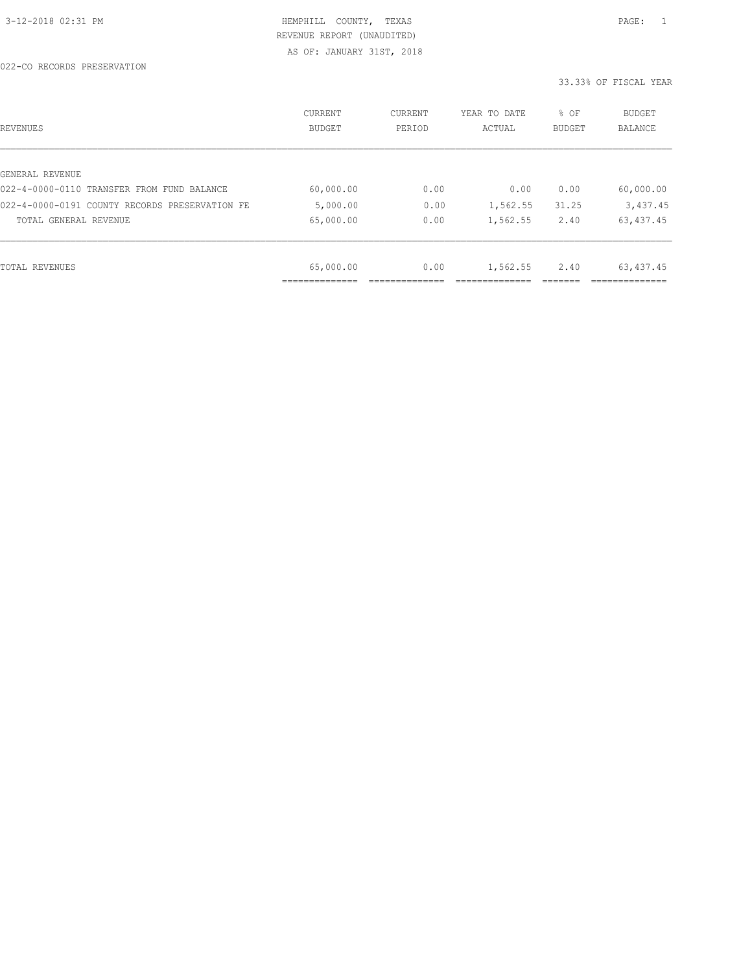| REVENUES                                       | <b>CURRENT</b><br>BUDGET | CURRENT<br>PERIOD | YEAR TO DATE<br>ACTUAL | % OF<br>BUDGET | BUDGET<br>BALANCE |
|------------------------------------------------|--------------------------|-------------------|------------------------|----------------|-------------------|
|                                                |                          |                   |                        |                |                   |
| GENERAL REVENUE                                |                          |                   |                        |                |                   |
| 022-4-0000-0110 TRANSFER FROM FUND BALANCE     | 60,000.00                | 0.00              | 0.00                   | 0.00           | 60,000.00         |
| 022-4-0000-0191 COUNTY RECORDS PRESERVATION FE | 5,000.00                 | 0.00              | 1,562.55               | 31.25          | 3,437.45          |
| TOTAL GENERAL REVENUE                          | 65,000.00                | 0.00              | 1,562.55               | 2.40           | 63, 437.45        |
|                                                |                          |                   |                        |                |                   |
| TOTAL REVENUES                                 | 65,000.00                | 0.00              | 1,562.55               | 2.40           | 63, 437.45        |
|                                                | ___________              |                   |                        |                |                   |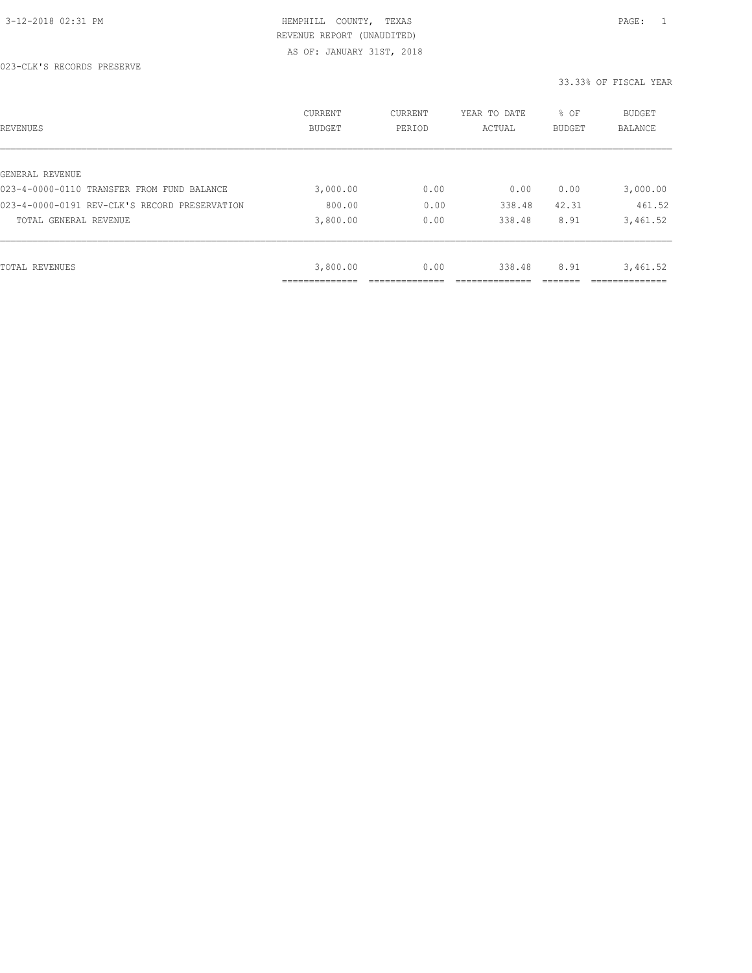| REVENUES                                      | CURRENT<br><b>BUDGET</b> | CURRENT<br>PERIOD | YEAR TO DATE<br>ACTUAL | % OF<br>BUDGET | BUDGET<br><b>BALANCE</b> |
|-----------------------------------------------|--------------------------|-------------------|------------------------|----------------|--------------------------|
|                                               |                          |                   |                        |                |                          |
| GENERAL REVENUE                               |                          |                   |                        |                |                          |
| 023-4-0000-0110 TRANSFER FROM FUND BALANCE    | 3,000.00                 | 0.00              | 0.00                   | 0.00           | 3,000.00                 |
| 023-4-0000-0191 REV-CLK'S RECORD PRESERVATION | 800.00                   | 0.00              | 338.48                 | 42.31          | 461.52                   |
| TOTAL GENERAL REVENUE                         | 3,800.00                 | 0.00              | 338.48                 | 8.91           | 3,461.52                 |
|                                               |                          |                   |                        |                |                          |
| TOTAL REVENUES                                | 3,800.00                 | 0.00              | 338.48                 | 8.91           | 3,461.52                 |
|                                               |                          |                   |                        |                |                          |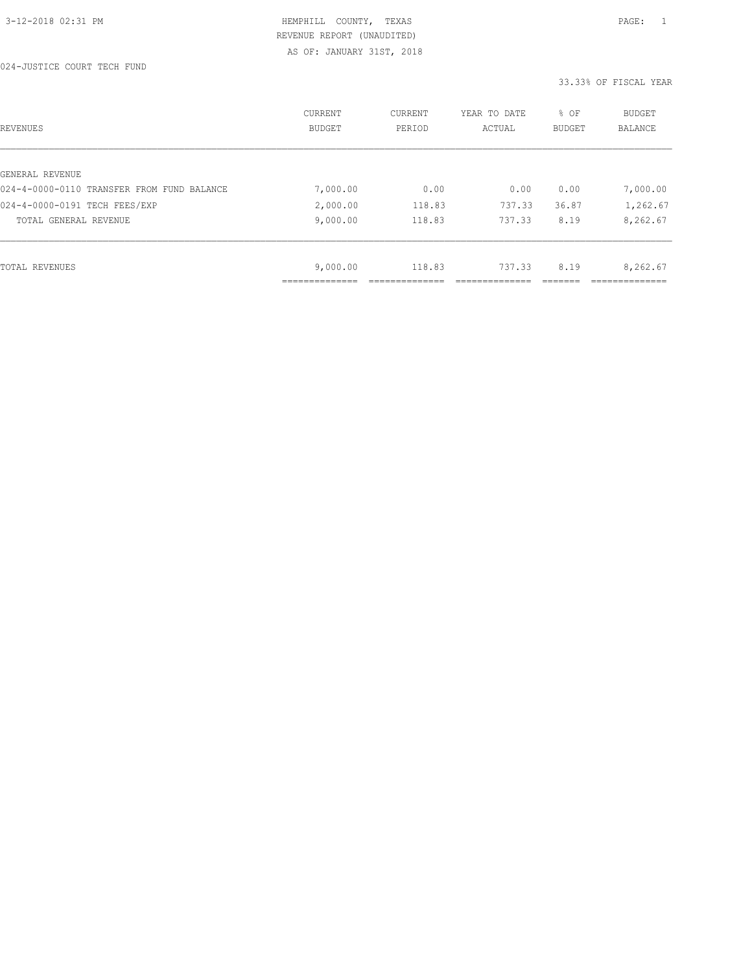024-JUSTICE COURT TECH FUND

| REVENUES                                   | CURRENT<br><b>BUDGET</b> | CURRENT<br>PERIOD | YEAR TO DATE<br>ACTUAL | % OF<br>BUDGET | BUDGET<br><b>BALANCE</b> |
|--------------------------------------------|--------------------------|-------------------|------------------------|----------------|--------------------------|
|                                            |                          |                   |                        |                |                          |
| GENERAL REVENUE                            |                          |                   |                        |                |                          |
| 024-4-0000-0110 TRANSFER FROM FUND BALANCE | 7,000.00                 | 0.00              | 0.00                   | 0.00           | 7,000.00                 |
| 024-4-0000-0191 TECH FEES/EXP              | 2,000.00                 | 118.83            | 737.33                 | 36.87          | 1,262.67                 |
| TOTAL GENERAL REVENUE                      | 9,000.00                 | 118.83            | 737.33                 | 8.19           | 8,262.67                 |
|                                            |                          |                   |                        |                |                          |
| TOTAL REVENUES                             | 9,000.00                 | 118.83            | 737.33                 | 8.19           | 8,262.67                 |
|                                            |                          |                   |                        |                |                          |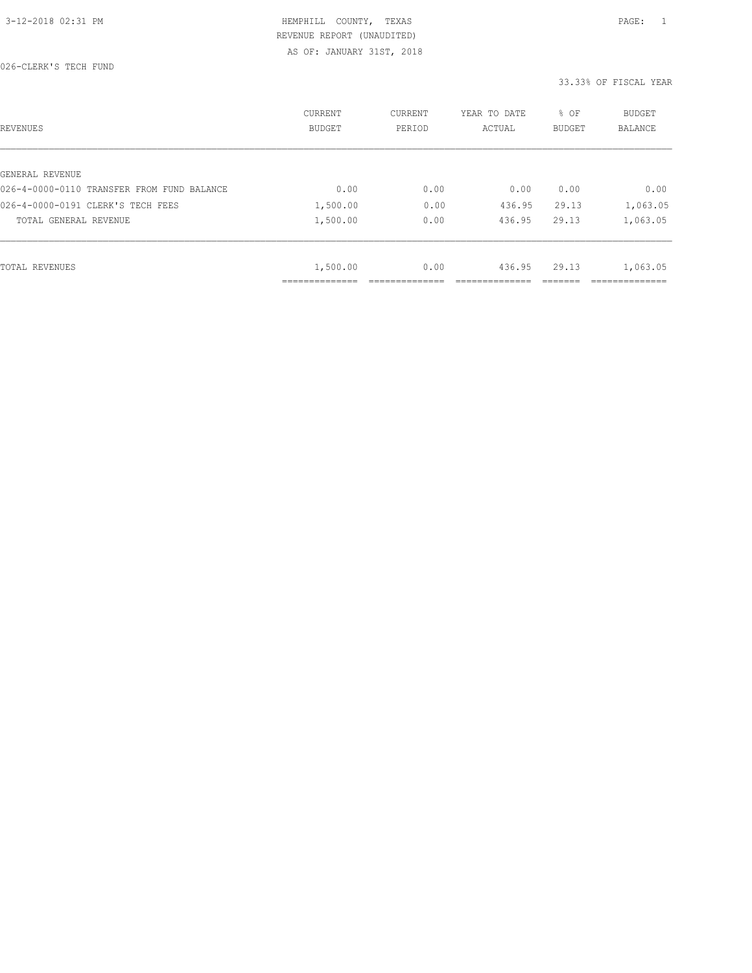| REVENUES                                   | <b>CURRENT</b><br>BUDGET | CURRENT<br>PERIOD | YEAR TO DATE<br>ACTUAL | % OF<br><b>BUDGET</b> | <b>BUDGET</b><br>BALANCE |
|--------------------------------------------|--------------------------|-------------------|------------------------|-----------------------|--------------------------|
|                                            |                          |                   |                        |                       |                          |
| GENERAL REVENUE                            |                          |                   |                        |                       |                          |
| 026-4-0000-0110 TRANSFER FROM FUND BALANCE | 0.00                     | 0.00              | 0.00                   | 0.00                  | 0.00                     |
| 026-4-0000-0191 CLERK'S TECH FEES          | 1,500.00                 | 0.00              | 436.95                 | 29.13                 | 1,063.05                 |
| TOTAL GENERAL REVENUE                      | 1,500.00                 | 0.00              | 436.95                 | 29.13                 | 1,063.05                 |
|                                            |                          |                   |                        |                       |                          |
| TOTAL REVENUES                             | 1,500.00                 | 0.00              | 436.95                 | 29.13                 | 1,063.05                 |
|                                            | ______________           |                   |                        |                       |                          |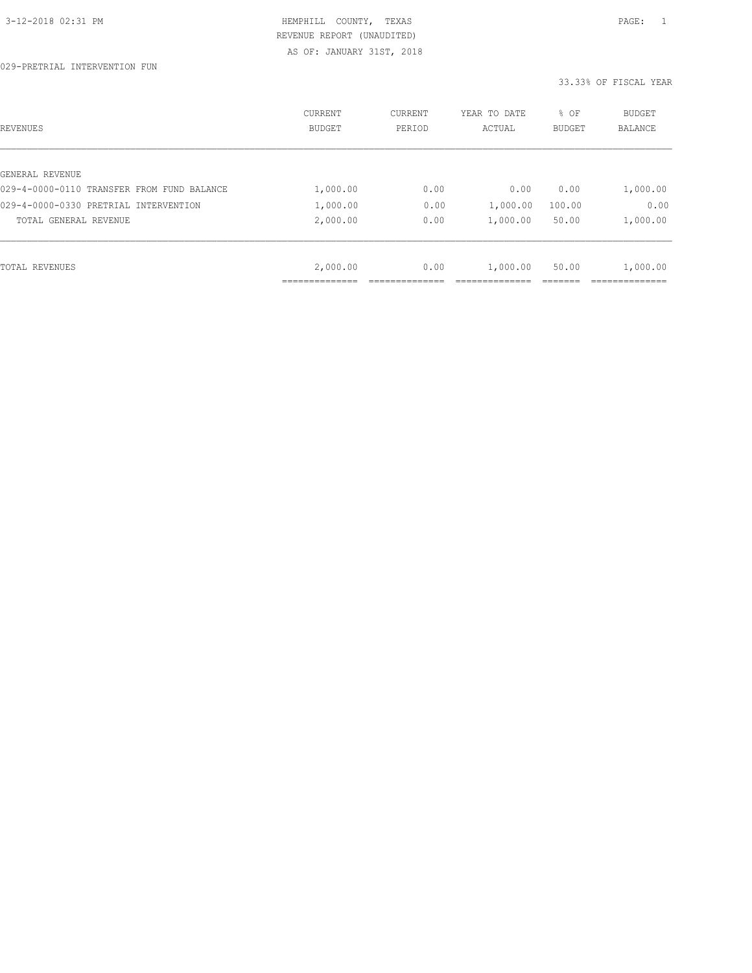| REVENUES                                   | CURRENT<br><b>BUDGET</b> | CURRENT<br>PERIOD | YEAR TO DATE<br>ACTUAL | % OF<br>BUDGET | BUDGET<br>BALANCE |
|--------------------------------------------|--------------------------|-------------------|------------------------|----------------|-------------------|
|                                            |                          |                   |                        |                |                   |
| GENERAL REVENUE                            |                          |                   |                        |                |                   |
| 029-4-0000-0110 TRANSFER FROM FUND BALANCE | 1,000.00                 | 0.00              | 0.00                   | 0.00           | 1,000.00          |
| 029-4-0000-0330 PRETRIAL INTERVENTION      | 1,000.00                 | 0.00              | 1,000.00               | 100.00         | 0.00              |
| TOTAL GENERAL REVENUE                      | 2,000.00                 | 0.00              | 1,000.00               | 50.00          | 1,000.00          |
|                                            |                          |                   |                        |                |                   |
| TOTAL REVENUES                             | 2,000.00                 | 0.00              | 1,000.00               | 50.00          | 1,000.00          |
|                                            | ____________             |                   |                        |                |                   |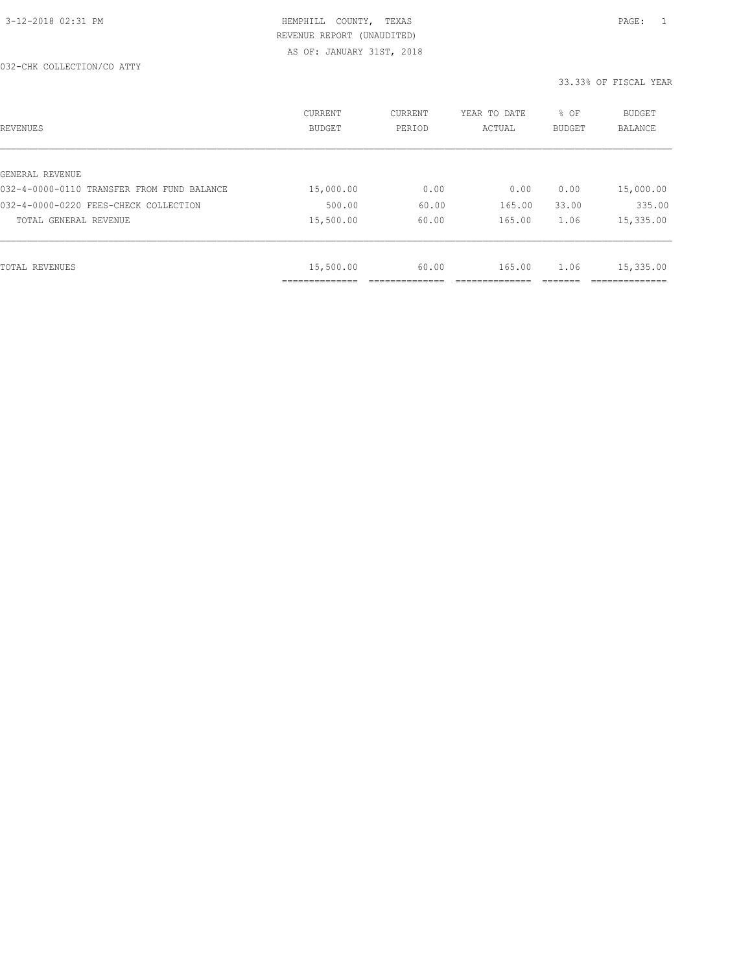| REVENUES                                   | CURRENT<br><b>BUDGET</b>   | CURRENT<br>PERIOD | YEAR TO DATE<br>ACTUAL | % OF<br>BUDGET | BUDGET<br>BALANCE |
|--------------------------------------------|----------------------------|-------------------|------------------------|----------------|-------------------|
|                                            |                            |                   |                        |                |                   |
| GENERAL REVENUE                            |                            |                   |                        |                |                   |
| 032-4-0000-0110 TRANSFER FROM FUND BALANCE | 15,000.00                  | 0.00              | 0.00                   | 0.00           | 15,000.00         |
| 032-4-0000-0220 FEES-CHECK COLLECTION      | 500.00                     | 60.00             | 165.00                 | 33.00          | 335.00            |
| TOTAL GENERAL REVENUE                      | 15,500.00                  | 60.00             | 165.00                 | 1.06           | 15,335.00         |
|                                            |                            |                   |                        |                |                   |
| TOTAL REVENUES                             | 15,500.00                  | 60.00             | 165.00                 | 1.06           | 15,335.00         |
|                                            | -----------<br>----------- |                   |                        |                |                   |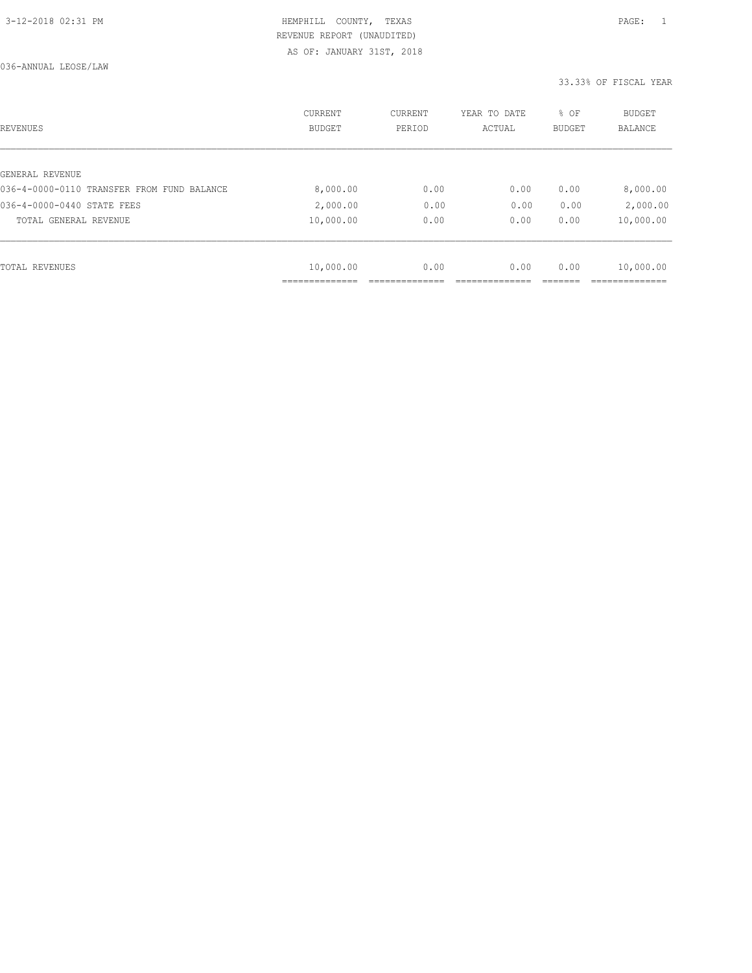| REVENUES                                   | CURRENT<br><b>BUDGET</b> | CURRENT<br>PERIOD | YEAR TO DATE<br>ACTUAL | % OF<br>BUDGET | BUDGET<br>BALANCE |
|--------------------------------------------|--------------------------|-------------------|------------------------|----------------|-------------------|
|                                            |                          |                   |                        |                |                   |
| GENERAL REVENUE                            |                          |                   |                        |                |                   |
| 036-4-0000-0110 TRANSFER FROM FUND BALANCE | 8,000.00                 | 0.00              | 0.00                   | 0.00           | 8,000.00          |
| 036-4-0000-0440 STATE FEES                 | 2,000.00                 | 0.00              | 0.00                   | 0.00           | 2,000.00          |
| TOTAL GENERAL REVENUE                      | 10,000.00                | 0.00              | 0.00                   | 0.00           | 10,000.00         |
|                                            |                          |                   |                        |                |                   |
| TOTAL REVENUES                             | 10,000.00                | 0.00              | 0.00                   | 0.00           | 10,000.00         |
|                                            | ____________             |                   |                        |                |                   |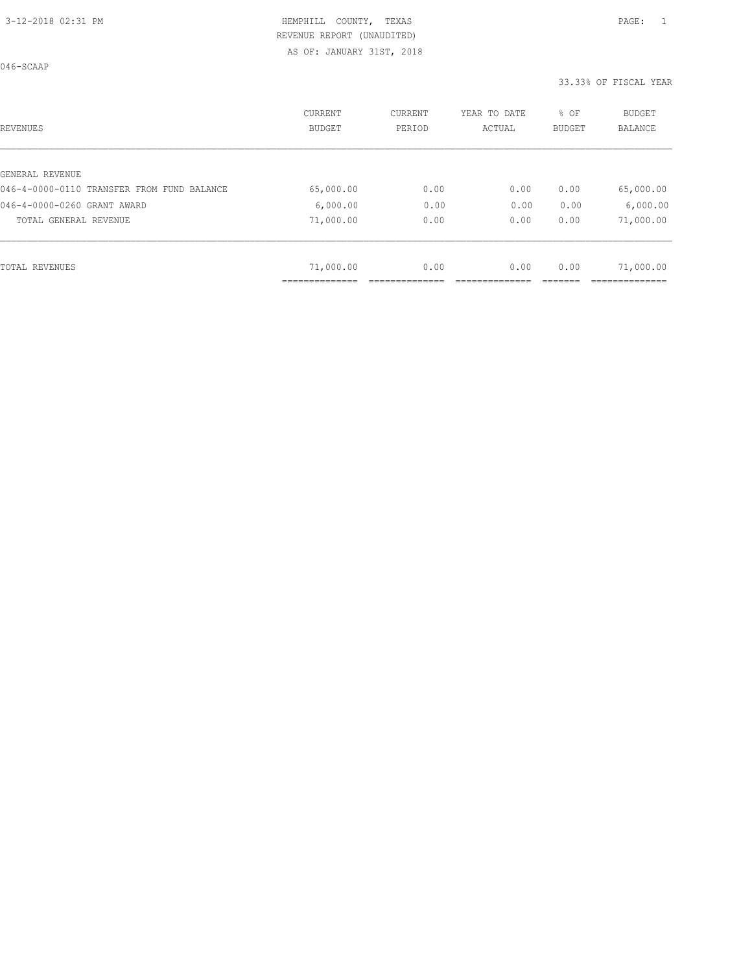046-SCAAP

| REVENUES                                   | <b>CURRENT</b><br><b>BUDGET</b> | CURRENT<br>PERIOD | YEAR TO DATE<br>ACTUAL | % OF<br>BUDGET | <b>BUDGET</b><br>BALANCE |
|--------------------------------------------|---------------------------------|-------------------|------------------------|----------------|--------------------------|
|                                            |                                 |                   |                        |                |                          |
| GENERAL REVENUE                            |                                 |                   |                        |                |                          |
| 046-4-0000-0110 TRANSFER FROM FUND BALANCE | 65,000.00                       | 0.00              | 0.00                   | 0.00           | 65,000.00                |
| 046-4-0000-0260 GRANT AWARD                | 6,000.00                        | 0.00              | 0.00                   | 0.00           | 6,000.00                 |
| TOTAL GENERAL REVENUE                      | 71,000.00                       | 0.00              | 0.00                   | 0.00           | 71,000.00                |
|                                            |                                 |                   |                        |                |                          |
| TOTAL REVENUES                             | 71,000.00                       | 0.00              | 0.00                   | 0.00           | 71,000.00                |
|                                            |                                 |                   |                        |                |                          |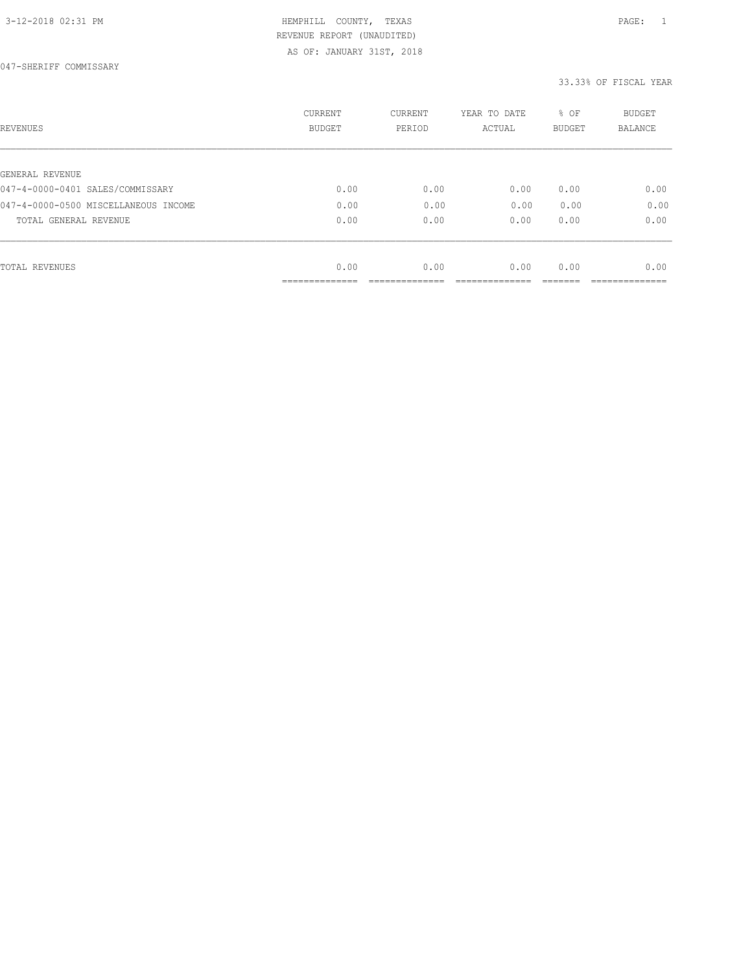047-SHERIFF COMMISSARY

| REVENUES                             | <b>CURRENT</b><br><b>BUDGET</b> | CURRENT<br>PERIOD | YEAR TO DATE<br>ACTUAL | % OF<br>BUDGET | <b>BUDGET</b><br>BALANCE |
|--------------------------------------|---------------------------------|-------------------|------------------------|----------------|--------------------------|
|                                      |                                 |                   |                        |                |                          |
| GENERAL REVENUE                      |                                 |                   |                        |                |                          |
| 047-4-0000-0401 SALES/COMMISSARY     | 0.00                            | 0.00              | 0.00                   | 0.00           | 0.00                     |
| 047-4-0000-0500 MISCELLANEOUS INCOME | 0.00                            | 0.00              | 0.00                   | 0.00           | 0.00                     |
| TOTAL GENERAL REVENUE                | 0.00                            | 0.00              | 0.00                   | 0.00           | 0.00                     |
|                                      |                                 |                   |                        |                |                          |
| TOTAL REVENUES                       | 0.00                            | 0.00              | 0.00                   | 0.00           | 0.00                     |
|                                      | ___________                     |                   |                        |                |                          |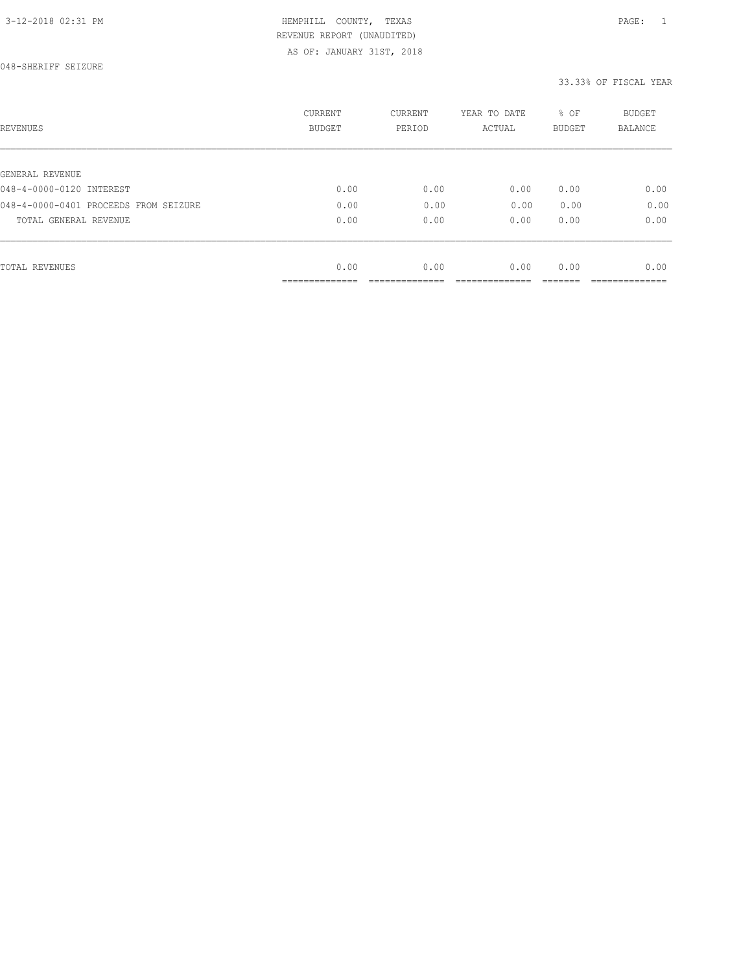| REVENUES                              | <b>CURRENT</b><br><b>BUDGET</b> | CURRENT<br>PERIOD | YEAR TO DATE<br>ACTUAL | % OF<br><b>BUDGET</b> | <b>BUDGET</b><br>BALANCE |
|---------------------------------------|---------------------------------|-------------------|------------------------|-----------------------|--------------------------|
|                                       |                                 |                   |                        |                       |                          |
| GENERAL REVENUE                       |                                 |                   |                        |                       |                          |
| 048-4-0000-0120 INTEREST              | 0.00                            | 0.00              | 0.00                   | 0.00                  | 0.00                     |
| 048-4-0000-0401 PROCEEDS FROM SEIZURE | 0.00                            | 0.00              | 0.00                   | 0.00                  | 0.00                     |
| TOTAL GENERAL REVENUE                 | 0.00                            | 0.00              | 0.00                   | 0.00                  | 0.00                     |
|                                       |                                 |                   |                        |                       |                          |
| TOTAL REVENUES                        | 0.00                            | 0.00              | 0.00                   | 0.00                  | 0.00                     |
|                                       | -----------<br>-------------    |                   |                        |                       |                          |